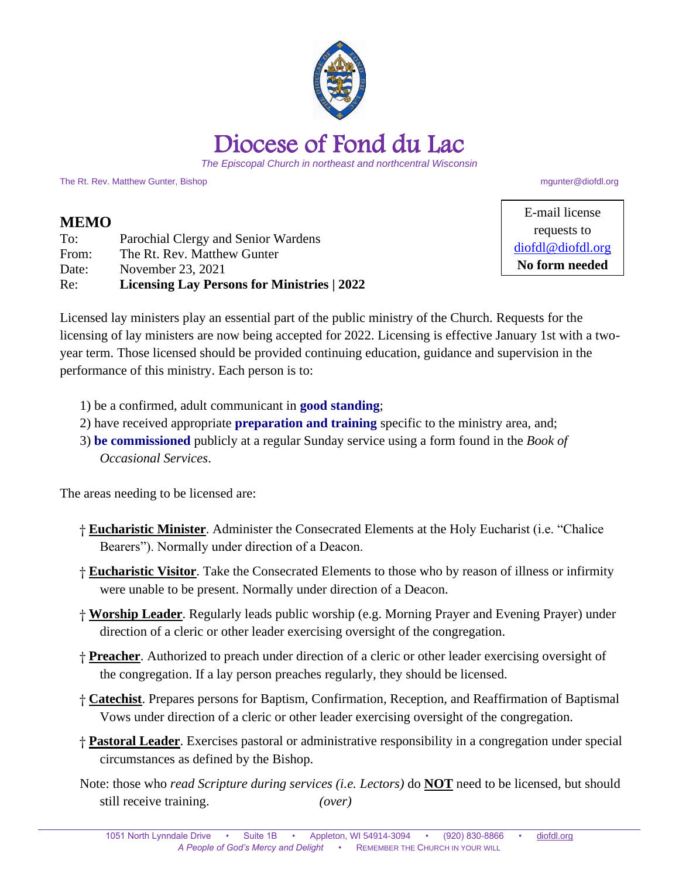

*The Episcopal Church in northeast and northcentral Wisconsin*

The Rt. Rev. Matthew Gunter, Bishop matthew of the control of the control of the control of the control of the control of the control of the control of the control of the control of the control of the control of the contro

## **MEMO**

| To:   | Parochial Clergy and Senior Wardens                |
|-------|----------------------------------------------------|
| From: | The Rt. Rev. Matthew Gunter                        |
| Date: | November 23, 2021                                  |
| Re:   | <b>Licensing Lay Persons for Ministries   2022</b> |

E-mail license requests to [diofdl@diofdl.org](mailto:diofdl@diofdl.org) **No form needed**

Licensed lay ministers play an essential part of the public ministry of the Church. Requests for the licensing of lay ministers are now being accepted for 2022. Licensing is effective January 1st with a twoyear term. Those licensed should be provided continuing education, guidance and supervision in the performance of this ministry. Each person is to:

- 1) be a confirmed, adult communicant in **good standing**;
- 2) have received appropriate **preparation and training** specific to the ministry area, and;
- 3) **be commissioned** publicly at a regular Sunday service using a form found in the *Book of Occasional Services*.

The areas needing to be licensed are:

- † **Eucharistic Minister**. Administer the Consecrated Elements at the Holy Eucharist (i.e. "Chalice Bearers"). Normally under direction of a Deacon.
- † **Eucharistic Visitor**. Take the Consecrated Elements to those who by reason of illness or infirmity were unable to be present. Normally under direction of a Deacon.
- † **Worship Leader**. Regularly leads public worship (e.g. Morning Prayer and Evening Prayer) under direction of a cleric or other leader exercising oversight of the congregation.
- † **Preacher**. Authorized to preach under direction of a cleric or other leader exercising oversight of the congregation. If a lay person preaches regularly, they should be licensed.
- † **Catechist**. Prepares persons for Baptism, Confirmation, Reception, and Reaffirmation of Baptismal Vows under direction of a cleric or other leader exercising oversight of the congregation.
- † **Pastoral Leader**. Exercises pastoral or administrative responsibility in a congregation under special circumstances as defined by the Bishop.
- Note: those who *read Scripture during services (i.e. Lectors)* do **NOT** need to be licensed, but should still receive training. *(over)*